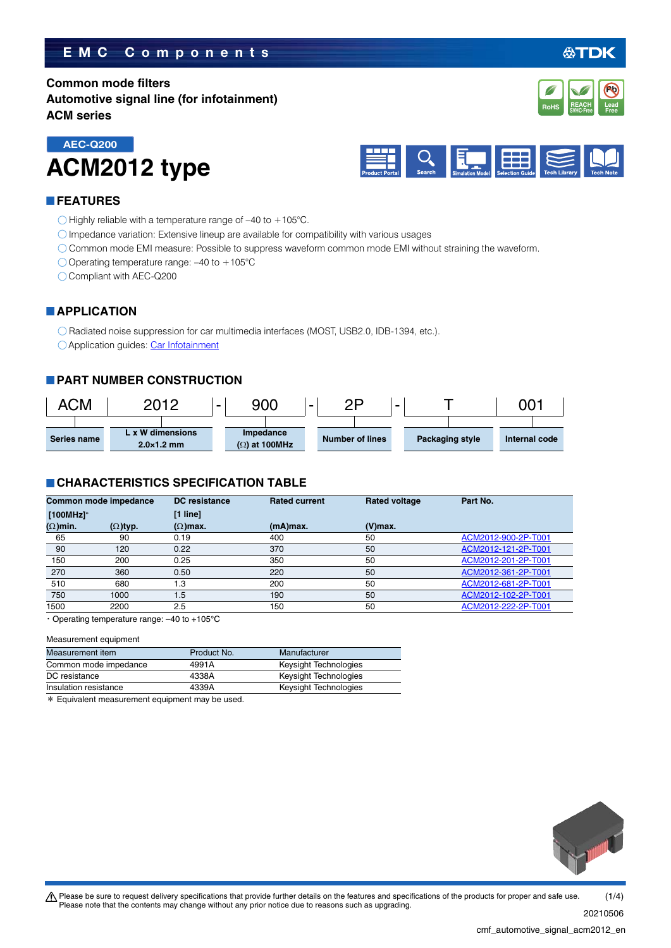# **EMC Components**

**Common mode filters Automotive signal line (for infotainment) ACM series**



#### **FEATURES**

**AEC-Q200**

 $\bigcirc$  Highly reliable with a temperature range of -40 to +105°C.

Impedance variation: Extensive lineup are available for compatibility with various usages

Common mode EMI measure: Possible to suppress waveform common mode EMI without straining the waveform.

O Operating temperature range:  $-40$  to  $+105^{\circ}$ C

Compliant with AEC-Q200

**ACM2012 type**

#### **APPLICATION**

O Radiated noise suppression for car multimedia interfaces (MOST, USB2.0, IDB-1394, etc.).

Application guides: [Car Infotainment](https://product.tdk.com/info/en/applicationguide/car_infotainment/index.html?utm_source=cmf_automotive_signal_acm2012_en.pdf&utm_medium=catalog)

## **PART NUMBER CONSTRUCTION**



#### **CHARACTERISTICS SPECIFICATION TABLE**

| Common mode impedance<br>$[100MHz]$ * |                 | <b>DC</b> resistance | <b>Rated current</b> | <b>Rated voltage</b> | Part No.            |
|---------------------------------------|-----------------|----------------------|----------------------|----------------------|---------------------|
|                                       |                 | $[1$ line]           |                      |                      |                     |
| $(\Omega)$ min.                       | $(\Omega)$ typ. | $(\Omega)$ max.      | (mA)max.             | $(V)$ max.           |                     |
| 65                                    | 90              | 0.19                 | 400                  | 50                   | ACM2012-900-2P-T001 |
| 90                                    | 120             | 0.22                 | 370                  | 50                   | ACM2012-121-2P-T001 |
| 150                                   | 200             | 0.25                 | 350                  | 50                   | ACM2012-201-2P-T001 |
| 270                                   | 360             | 0.50                 | 220                  | 50                   | ACM2012-361-2P-T001 |
| 510                                   | 680             | 1.3                  | 200                  | 50                   | ACM2012-681-2P-T001 |
| 750                                   | 1000            | 1.5                  | 190                  | 50                   | ACM2012-102-2P-T001 |
| 1500                                  | 2200            | 2.5                  | 150                  | 50                   | ACM2012-222-2P-T001 |

・Operating temperature range: –40 to +105°C

#### Measurement equipment

| Measurement item      | Product No. | Manufacturer          |
|-----------------------|-------------|-----------------------|
| Common mode impedance | 4991A       | Keysight Technologies |
| DC resistance         | 4338A       | Keysight Technologies |
| Insulation resistance | 4339A       | Keysight Technologies |
|                       |             |                       |

\* Equivalent measurement equipment may be used.



20210506

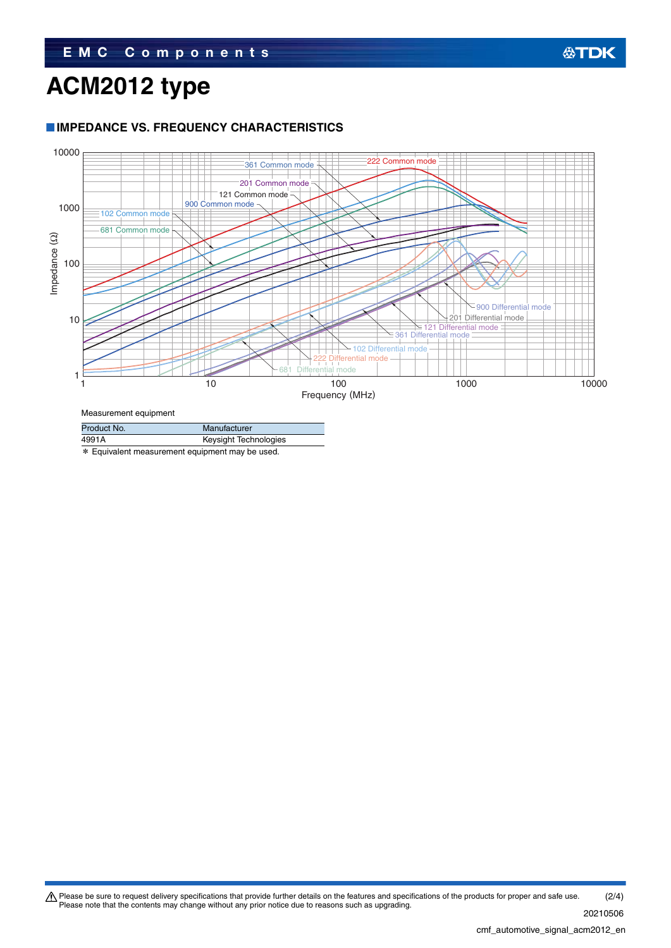# **ACM2012 type**

### **IMPEDANCE VS. FREQUENCY CHARACTERISTICS**



Measurement equipment

| Product No. | Manufacturer          |
|-------------|-----------------------|
| 4991A       | Keysight Technologies |
|             |                       |

\* Equivalent measurement equipment may be used.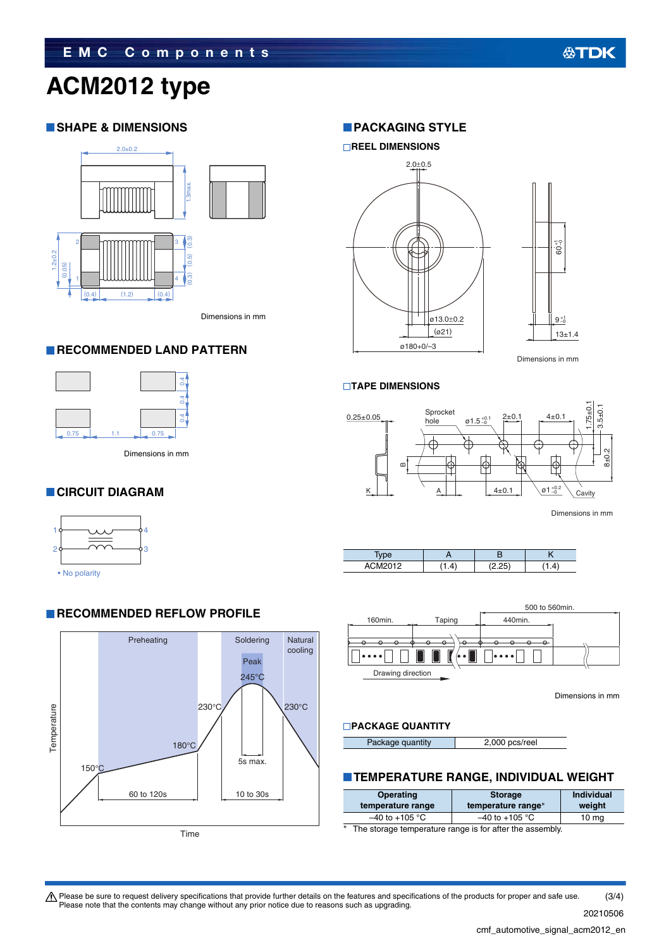# **ACM2012 type**

## **SHAPE & DIMENSIONS**



Dimensions in mm

#### **RECOMMENDED LAND PATTERN**



Dimensions in mm

## **CIRCUIT DIAGRAM**





**RECOMMENDED REFLOW PROFILE** 

## **PACKAGING STYLE**



**TAPE DIMENSIONS**



Dimensions in mm





Dimensions in mm

#### **PACKAGE QUANTITY**

| Package quantity | 2,000 pcs/reel |
|------------------|----------------|
|------------------|----------------|

#### **TEMPERATURE RANGE, INDIVIDUAL WEIGHT**

| <b>Operating</b><br>temperature range | <b>Storage</b><br>temperature range* | <b>Individual</b><br>weight |
|---------------------------------------|--------------------------------------|-----------------------------|
| $-40$ to $+105$ °C                    | $-40$ to +105 °C                     | 10 <sub>mg</sub>            |
|                                       |                                      |                             |

The storage temperature range is for after the assembly.

Please be sure to request delivery specifications that provide further details on the features and specifications of the products for proper and safe use.<br>Please note that the contents may change without any prior notice d (3/4)